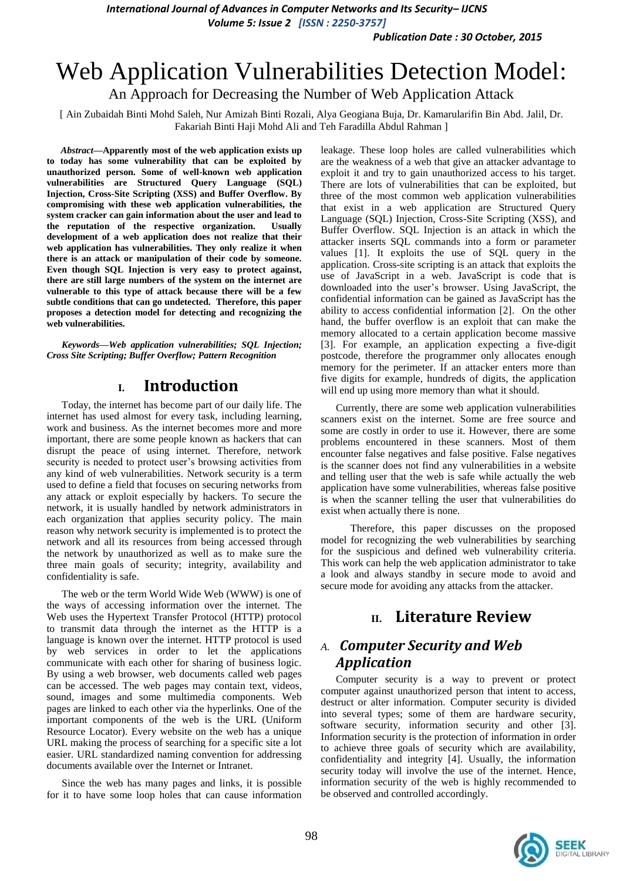*Publication Date : 30 October, 2015*

# Web Application Vulnerabilities Detection Model:

An Approach for Decreasing the Number of Web Application Attack

[ Ain Zubaidah Binti Mohd Saleh, Nur Amizah Binti Rozali, Alya Geogiana Buja, Dr. Kamarularifin Bin Abd. Jalil, Dr. Fakariah Binti Haji Mohd Ali and Teh Faradilla Abdul Rahman ]

*Abstract***—Apparently most of the web application exists up to today has some vulnerability that can be exploited by unauthorized person. Some of well-known web application vulnerabilities are Structured Query Language (SQL) Injection, Cross-Site Scripting (XSS) and Buffer Overflow. By compromising with these web application vulnerabilities, the system cracker can gain information about the user and lead to the reputation of the respective organization. Usually development of a web application does not realize that their web application has vulnerabilities. They only realize it when there is an attack or manipulation of their code by someone. Even though SQL Injection is very easy to protect against, there are still large numbers of the system on the internet are vulnerable to this type of attack because there will be a few subtle conditions that can go undetected. Therefore, this paper proposes a detection model for detecting and recognizing the web vulnerabilities.**

*Keywords—Web application vulnerabilities; SQL Injection; Cross Site Scripting; Buffer Overflow; Pattern Recognition*

## **I. Introduction**

Today, the internet has become part of our daily life. The internet has used almost for every task, including learning, work and business. As the internet becomes more and more important, there are some people known as hackers that can disrupt the peace of using internet. Therefore, network security is needed to protect user's browsing activities from any kind of web vulnerabilities. Network security is a term used to define a field that focuses on securing networks from any attack or exploit especially by hackers. To secure the network, it is usually handled by network administrators in each organization that applies security policy. The main reason why network security is implemented is to protect the network and all its resources from being accessed through the network by unauthorized as well as to make sure the three main goals of security; integrity, availability and confidentiality is safe.

The web or the term World Wide Web (WWW) is one of the ways of accessing information over the internet. The Web uses the Hypertext Transfer Protocol (HTTP) protocol to transmit data through the internet as the HTTP is a language is known over the internet. HTTP protocol is used by web services in order to let the applications communicate with each other for sharing of business logic. By using a web browser, web documents called web pages can be accessed. The web pages may contain text, videos, sound, images and some multimedia components. Web pages are linked to each other via the hyperlinks. One of the important components of the web is the URL (Uniform Resource Locator). Every website on the web has a unique URL making the process of searching for a specific site a lot easier. URL standardized naming convention for addressing documents available over the Internet or Intranet.

Since the web has many pages and links, it is possible for it to have some loop holes that can cause information

leakage. These loop holes are called vulnerabilities which are the weakness of a web that give an attacker advantage to exploit it and try to gain unauthorized access to his target. There are lots of vulnerabilities that can be exploited, but three of the most common web application vulnerabilities that exist in a web application are Structured Query Language (SQL) Injection, Cross-Site Scripting (XSS), and Buffer Overflow. SQL Injection is an attack in which the attacker inserts SQL commands into a form or parameter values [1]. It exploits the use of SQL query in the application. Cross-site scripting is an attack that exploits the use of JavaScript in a web. JavaScript is code that is downloaded into the user's browser. Using JavaScript, the confidential information can be gained as JavaScript has the ability to access confidential information [2]. On the other hand, the buffer overflow is an exploit that can make the memory allocated to a certain application become massive [3]. For example, an application expecting a five-digit postcode, therefore the programmer only allocates enough memory for the perimeter. If an attacker enters more than five digits for example, hundreds of digits, the application will end up using more memory than what it should.

Currently, there are some web application vulnerabilities scanners exist on the internet. Some are free source and some are costly in order to use it. However, there are some problems encountered in these scanners. Most of them encounter false negatives and false positive. False negatives is the scanner does not find any vulnerabilities in a website and telling user that the web is safe while actually the web application have some vulnerabilities, whereas false positive is when the scanner telling the user that vulnerabilities do exist when actually there is none.

Therefore, this paper discusses on the proposed model for recognizing the web vulnerabilities by searching for the suspicious and defined web vulnerability criteria. This work can help the web application administrator to take a look and always standby in secure mode to avoid and secure mode for avoiding any attacks from the attacker.

# **II. Literature Review**

# *A. Computer Security and Web Application*

Computer security is a way to prevent or protect computer against unauthorized person that intent to access, destruct or alter information. Computer security is divided into several types; some of them are hardware security, software security, information security and other [3]. Information security is the protection of information in order to achieve three goals of security which are availability, confidentiality and integrity [4]. Usually, the information security today will involve the use of the internet. Hence, information security of the web is highly recommended to be observed and controlled accordingly.

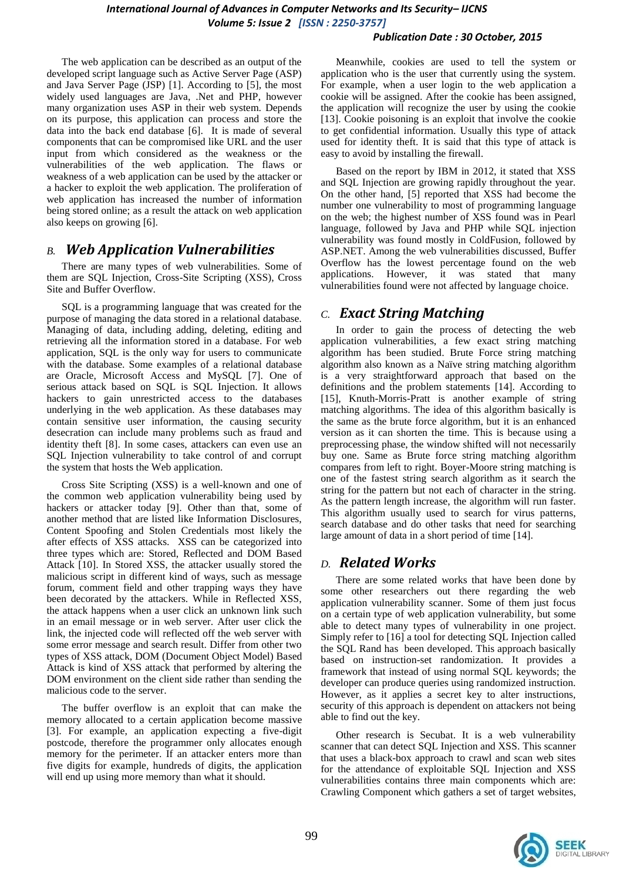#### *Publication Date : 30 October, 2015*

The web application can be described as an output of the developed script language such as Active Server Page (ASP) and Java Server Page (JSP) [1]. According to [5], the most widely used languages are Java, .Net and PHP, however many organization uses ASP in their web system. Depends on its purpose, this application can process and store the data into the back end database [6]. It is made of several components that can be compromised like URL and the user input from which considered as the weakness or the vulnerabilities of the web application. The flaws or weakness of a web application can be used by the attacker or a hacker to exploit the web application. The proliferation of web application has increased the number of information being stored online; as a result the attack on web application also keeps on growing [6].

#### *B. Web Application Vulnerabilities*

There are many types of web vulnerabilities. Some of them are SQL Injection, Cross-Site Scripting (XSS), Cross Site and Buffer Overflow.

SQL is a programming language that was created for the purpose of managing the data stored in a relational database. Managing of data, including adding, deleting, editing and retrieving all the information stored in a database. For web application, SQL is the only way for users to communicate with the database. Some examples of a relational database are Oracle, Microsoft Access and MySQL [7]. One of serious attack based on SQL is SQL Injection. It allows hackers to gain unrestricted access to the databases underlying in the web application. As these databases may contain sensitive user information, the causing security desecration can include many problems such as fraud and identity theft [8]. In some cases, attackers can even use an SQL Injection vulnerability to take control of and corrupt the system that hosts the Web application.

Cross Site Scripting (XSS) is a well-known and one of the common web application vulnerability being used by hackers or attacker today [9]. Other than that, some of another method that are listed like Information Disclosures, Content Spoofing and Stolen Credentials most likely the after effects of XSS attacks. XSS can be categorized into three types which are: Stored, Reflected and DOM Based Attack [10]. In Stored XSS, the attacker usually stored the malicious script in different kind of ways, such as message forum, comment field and other trapping ways they have been decorated by the attackers. While in Reflected XSS, the attack happens when a user click an unknown link such in an email message or in web server. After user click the link, the injected code will reflected off the web server with some error message and search result. Differ from other two types of XSS attack, DOM (Document Object Model) Based Attack is kind of XSS attack that performed by altering the DOM environment on the client side rather than sending the malicious code to the server.

The buffer overflow is an exploit that can make the memory allocated to a certain application become massive [3]. For example, an application expecting a five-digit postcode, therefore the programmer only allocates enough memory for the perimeter. If an attacker enters more than five digits for example, hundreds of digits, the application will end up using more memory than what it should.

Meanwhile, cookies are used to tell the system or application who is the user that currently using the system. For example, when a user login to the web application a cookie will be assigned. After the cookie has been assigned, the application will recognize the user by using the cookie [13]. Cookie poisoning is an exploit that involve the cookie to get confidential information. Usually this type of attack used for identity theft. It is said that this type of attack is easy to avoid by installing the firewall.

Based on the report by IBM in 2012, it stated that XSS and SQL Injection are growing rapidly throughout the year. On the other hand, [5] reported that XSS had become the number one vulnerability to most of programming language on the web; the highest number of XSS found was in Pearl language, followed by Java and PHP while SQL injection vulnerability was found mostly in ColdFusion, followed by ASP.NET. Among the web vulnerabilities discussed, Buffer Overflow has the lowest percentage found on the web applications. However, it was stated that many vulnerabilities found were not affected by language choice.

#### *C. Exact String Matching*

In order to gain the process of detecting the web application vulnerabilities, a few exact string matching algorithm has been studied. Brute Force string matching algorithm also known as a Naïve string matching algorithm is a very straightforward approach that based on the definitions and the problem statements [14]. According to [15], Knuth-Morris-Pratt is another example of string matching algorithms. The idea of this algorithm basically is the same as the brute force algorithm, but it is an enhanced version as it can shorten the time. This is because using a preprocessing phase, the window shifted will not necessarily buy one. Same as Brute force string matching algorithm compares from left to right. Boyer-Moore string matching is one of the fastest string search algorithm as it search the string for the pattern but not each of character in the string. As the pattern length increase, the algorithm will run faster. This algorithm usually used to search for virus patterns, search database and do other tasks that need for searching large amount of data in a short period of time [14].

#### *D. Related Works*

There are some related works that have been done by some other researchers out there regarding the web application vulnerability scanner. Some of them just focus on a certain type of web application vulnerability, but some able to detect many types of vulnerability in one project. Simply refer to [16] a tool for detecting SQL Injection called the SQL Rand has been developed. This approach basically based on instruction-set randomization. It provides a framework that instead of using normal SQL keywords; the developer can produce queries using randomized instruction. However, as it applies a secret key to alter instructions, security of this approach is dependent on attackers not being able to find out the key.

Other research is Secubat. It is a web vulnerability scanner that can detect SQL Injection and XSS. This scanner that uses a black-box approach to crawl and scan web sites for the attendance of exploitable SQL Injection and XSS vulnerabilities contains three main components which are: Crawling Component which gathers a set of target websites,

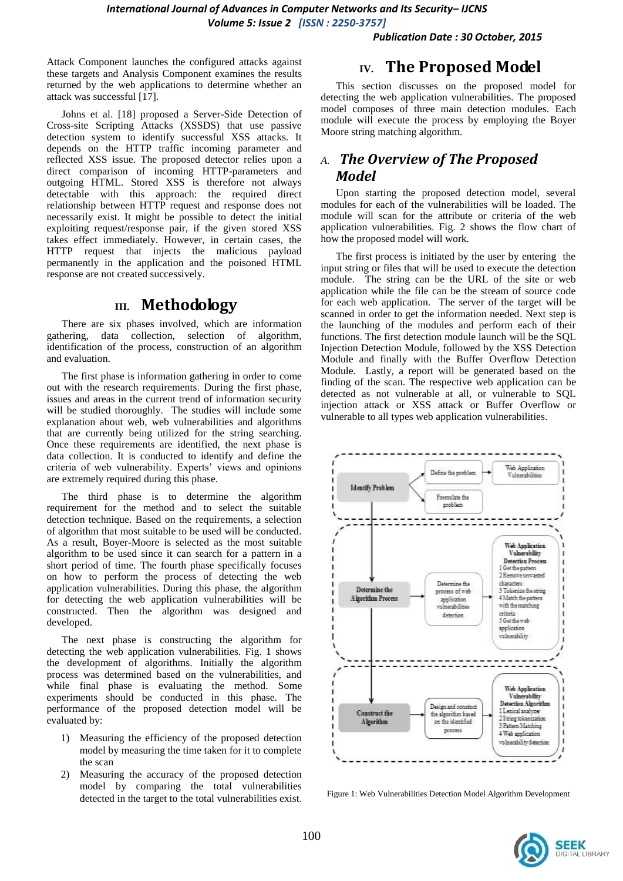*Publication Date : 30 October, 2015*

Attack Component launches the configured attacks against these targets and Analysis Component examines the results returned by the web applications to determine whether an attack was successful [17].

Johns et al. [18] proposed a Server-Side Detection of Cross-site Scripting Attacks (XSSDS) that use passive detection system to identify successful XSS attacks. It depends on the HTTP traffic incoming parameter and reflected XSS issue. The proposed detector relies upon a direct comparison of incoming HTTP-parameters and outgoing HTML. Stored XSS is therefore not always detectable with this approach: the required direct relationship between HTTP request and response does not necessarily exist. It might be possible to detect the initial exploiting request/response pair, if the given stored XSS takes effect immediately. However, in certain cases, the HTTP request that injects the malicious payload permanently in the application and the poisoned HTML response are not created successively.

## **III. Methodology**

There are six phases involved, which are information gathering, data collection, selection of algorithm, identification of the process, construction of an algorithm and evaluation.

The first phase is information gathering in order to come out with the research requirements. During the first phase, issues and areas in the current trend of information security will be studied thoroughly. The studies will include some explanation about web, web vulnerabilities and algorithms that are currently being utilized for the string searching. Once these requirements are identified, the next phase is data collection. It is conducted to identify and define the criteria of web vulnerability. Experts' views and opinions are extremely required during this phase.

The third phase is to determine the algorithm requirement for the method and to select the suitable detection technique. Based on the requirements, a selection of algorithm that most suitable to be used will be conducted. As a result, Boyer-Moore is selected as the most suitable algorithm to be used since it can search for a pattern in a short period of time. The fourth phase specifically focuses on how to perform the process of detecting the web application vulnerabilities. During this phase, the algorithm for detecting the web application vulnerabilities will be constructed. Then the algorithm was designed and developed.

The next phase is constructing the algorithm for detecting the web application vulnerabilities. Fig. 1 shows the development of algorithms. Initially the algorithm process was determined based on the vulnerabilities, and while final phase is evaluating the method. Some experiments should be conducted in this phase. The performance of the proposed detection model will be evaluated by:

- 1) Measuring the efficiency of the proposed detection model by measuring the time taken for it to complete the scan
- 2) Measuring the accuracy of the proposed detection model by comparing the total vulnerabilities detected in the target to the total vulnerabilities exist.

#### **IV. The Proposed Model**

This section discusses on the proposed model for detecting the web application vulnerabilities. The proposed model composes of three main detection modules. Each module will execute the process by employing the Boyer Moore string matching algorithm.

# *A. The Overview of The Proposed Model*

Upon starting the proposed detection model, several modules for each of the vulnerabilities will be loaded. The module will scan for the attribute or criteria of the web application vulnerabilities. Fig. 2 shows the flow chart of how the proposed model will work.

The first process is initiated by the user by entering the input string or files that will be used to execute the detection module. The string can be the URL of the site or web application while the file can be the stream of source code for each web application. The server of the target will be scanned in order to get the information needed. Next step is the launching of the modules and perform each of their functions. The first detection module launch will be the SQL Injection Detection Module, followed by the XSS Detection Module and finally with the Buffer Overflow Detection Module. Lastly, a report will be generated based on the finding of the scan. The respective web application can be detected as not vulnerable at all, or vulnerable to SQL injection attack or XSS attack or Buffer Overflow or vulnerable to all types web application vulnerabilities.



Figure 1: Web Vulnerabilities Detection Model Algorithm Development

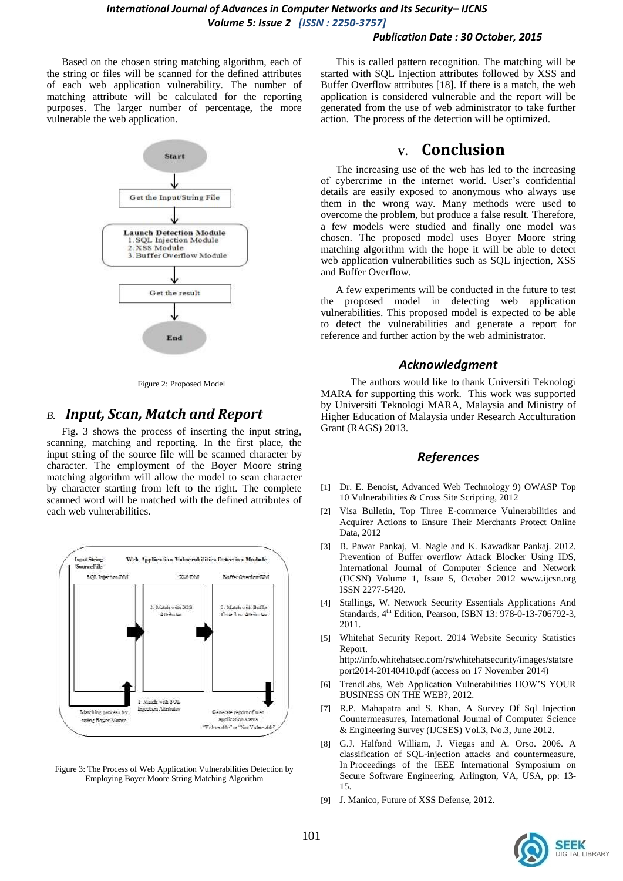#### *Publication Date : 30 October, 2015*

Based on the chosen string matching algorithm, each of the string or files will be scanned for the defined attributes of each web application vulnerability. The number of matching attribute will be calculated for the reporting purposes. The larger number of percentage, the more vulnerable the web application.



Figure 2: Proposed Model

#### *B. Input, Scan, Match and Report*

Fig. 3 shows the process of inserting the input string, scanning, matching and reporting. In the first place, the input string of the source file will be scanned character by character. The employment of the Boyer Moore string matching algorithm will allow the model to scan character by character starting from left to the right. The complete scanned word will be matched with the defined attributes of each web vulnerabilities.



Figure 3: The Process of Web Application Vulnerabilities Detection by Employing Boyer Moore String Matching Algorithm

This is called pattern recognition. The matching will be started with SQL Injection attributes followed by XSS and Buffer Overflow attributes [18]. If there is a match, the web application is considered vulnerable and the report will be generated from the use of web administrator to take further action. The process of the detection will be optimized.

### **V. Conclusion**

The increasing use of the web has led to the increasing of cybercrime in the internet world. User's confidential details are easily exposed to anonymous who always use them in the wrong way. Many methods were used to overcome the problem, but produce a false result. Therefore, a few models were studied and finally one model was chosen. The proposed model uses Boyer Moore string matching algorithm with the hope it will be able to detect web application vulnerabilities such as SQL injection, XSS and Buffer Overflow.

A few experiments will be conducted in the future to test the proposed model in detecting web application vulnerabilities. This proposed model is expected to be able to detect the vulnerabilities and generate a report for reference and further action by the web administrator.

#### *Acknowledgment*

The authors would like to thank Universiti Teknologi MARA for supporting this work. This work was supported by Universiti Teknologi MARA, Malaysia and Ministry of Higher Education of Malaysia under Research Acculturation Grant (RAGS) 2013.

#### *References*

- [1] Dr. E. Benoist, Advanced Web Technology 9) OWASP Top 10 Vulnerabilities & Cross Site Scripting, 2012
- [2] Visa Bulletin, Top Three E-commerce Vulnerabilities and Acquirer Actions to Ensure Their Merchants Protect Online Data, 2012
- [3] B. Pawar Pankaj, M. Nagle and K. Kawadkar Pankaj. 2012. Prevention of Buffer overflow Attack Blocker Using IDS, International Journal of Computer Science and Network (IJCSN) Volume 1, Issue 5, October 2012 www.ijcsn.org ISSN 2277-5420.
- [4] Stallings, W. Network Security Essentials Applications And Standards, 4<sup>th</sup> Edition, Pearson, ISBN 13: 978-0-13-706792-3, 2011.
- [5] Whitehat Security Report. 2014 Website Security Statistics Report.

http://info.whitehatsec.com/rs/whitehatsecurity/images/statsre port2014-20140410.pdf (access on 17 November 2014)

- [6] TrendLabs, Web Application Vulnerabilities HOW'S YOUR BUSINESS ON THE WEB?, 2012.
- [7] R.P. Mahapatra and S. Khan, A Survey Of Sql Injection Countermeasures, International Journal of Computer Science & Engineering Survey (IJCSES) Vol.3, No.3, June 2012.
- [8] G.J. Halfond William, J. Viegas and A. Orso. 2006. A classification of SQL-injection attacks and countermeasure, In Proceedings of the IEEE International Symposium on Secure Software Engineering, Arlington, VA, USA, pp: 13- 15.
- [9] J. Manico, Future of XSS Defense, 2012.